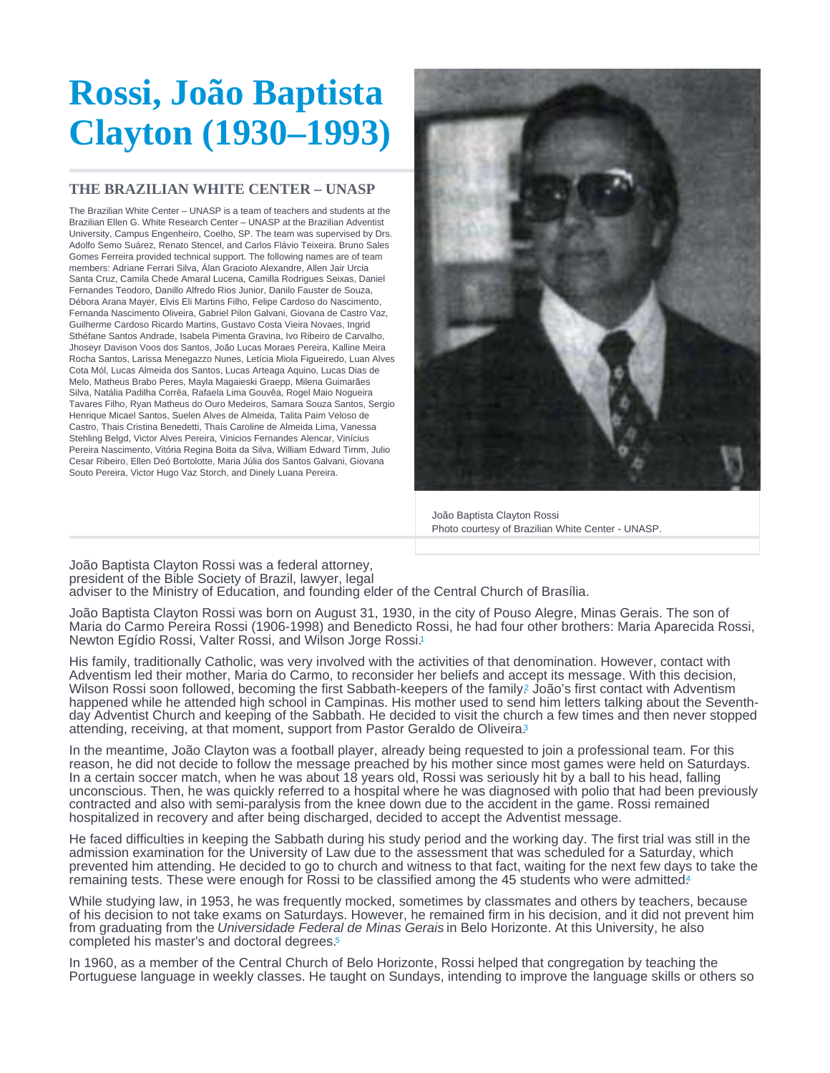## <span id="page-0-0"></span>Rossi, João Baptista Clayton (1930–1993)

## THE BRAZILIAN WHITE CENTER – UNASP

The Brazilian White Center – UNASP is a team of teachers and students at the Brazilian Ellen G. White Research Center – UNASP at the Brazilian Adventist University, Campus Engenheiro, Coelho, SP. The team was supervised by Drs. Adolfo Semo Suárez, Renato Stencel, and Carlos Flávio Teixeira. Bruno Sales Gomes Ferreira provided technical support. The following names are of team members: Adriane Ferrari Silva, Álan Gracioto Alexandre, Allen Jair Urcia Santa Cruz, Camila Chede Amaral Lucena, Camilla Rodrigues Seixas, Daniel Fernandes Teodoro, Danillo Alfredo Rios Junior, Danilo Fauster de Souza, Débora Arana Mayer, Elvis Eli Martins Filho, Felipe Cardoso do Nascimento, Fernanda Nascimento Oliveira, Gabriel Pilon Galvani, Giovana de Castro Vaz, Guilherme Cardoso Ricardo Martins, Gustavo Costa Vieira Novaes, Ingrid Sthéfane Santos Andrade, Isabela Pimenta Gravina, Ivo Ribeiro de Carvalho, Jhoseyr Davison Voos dos Santos, João Lucas Moraes Pereira, Kalline Meira Rocha Santos, Larissa Menegazzo Nunes, Letícia Miola Figueiredo, Luan Alves Cota Mól, Lucas Almeida dos Santos, Lucas Arteaga Aquino, Lucas Dias de Melo, Matheus Brabo Peres, Mayla Magaieski Graepp, Milena Guimarães Silva, Natália Padilha Corrêa, Rafaela Lima Gouvêa, Rogel Maio Nogueira Tavares Filho, Ryan Matheus do Ouro Medeiros, Samara Souza Santos, Sergio Henrique Micael Santos, Suelen Alves de Almeida, Talita Paim Veloso de Castro, Thais Cristina Benedetti, Thaís Caroline de Almeida Lima, Vanessa Stehling Belgd, Victor Alves Pereira, Vinicios Fernandes Alencar, Vinícius Pereira Nascimento, Vitória Regina Boita da Silva, William Edward Timm, Julio Cesar Ribeiro, Ellen Deó Bortolotte, Maria Júlia dos Santos Galvani, Giovana Souto Pereira, Victor Hugo Vaz Storch, and Dinely Luana Pereira.

> João Baptista Clayton Rossi Photo courtesy of Brazilian White Center - UNASP.

João Baptista Clayton Rossi was a federal attorney, president of the Bible Society of Brazil, lawyer, legal adviser to the Ministry of Education, and founding elder of the Central Church of Brasília.

João Baptista Clayton Rossi was born on August 31, 1930, in the city of Pouso Alegre, Minas Gerais. The son of Maria do Carmo Pereira Rossi (1906-1998) and Benedicto Rossi, he had four other brothers: Maria Aparecida Rossi, Newton Egídio Rossi, Valter Rossi, and Wilson Jorge Rossi.<sup>[1](#page-2-0)</sup>

His family, traditionally Catholic, was very involved with the activities of that denomination. However, contact with Adventism led their mother, Maria do Carmo, to reconsider her beliefs and accept its message. With this decision, Wilson Rossi soon followed, becoming the first Sabbath-keepers of the family? João's first contact with Adventism happened while he attended high school in Campinas. His mother used to send him letters talking about the Seventhday Adventist Church and keeping of the Sabbath. He decided to visit the church a few times and then never stopped attending, receiving, at that moment, support from Pastor Geraldo de Oliveira<sup>[3](#page-2-0)</sup>

In the meantime, João Clayton was a football player, already being requested to join a professional team. For this reason, he did not decide to follow the message preached by his mother since most games were held on Saturdays. In a certain soccer match, when he was about 18 years old, Rossi was seriously hit by a ball to his head, falling unconscious. Then, he was quickly referred to a hospital where he was diagnosed with polio that had been previously contracted and also with semi-paralysis from the knee down due to the accident in the game. Rossi remained hospitalized in recovery and after being discharged, decided to accept the Adventist message.

He faced difficulties in keeping the Sabbath during his study period and the working day. The first trial was still in the admission examination for the University of Law due to the assessment that was scheduled for a Saturday, which prevented him attending. He decided to go to church and witness to that fact, waiting for the next few days to take the remaining tests. These were enough for Rossi to be classified among the [4](#page-2-0)5 students who were admitted.4

While studying law, in 1953, he was frequently mocked, sometimes by classmates and others by teachers, because of his decision to not take exams on Saturdays. However, he remained firm in his decision, and it did not prevent him from graduating from the Universidade Federal de Minas Gerais in Belo Horizonte. At this University, he also completed his master's and doctoral degrees.<sup>5</sup>

In 1960, as a member of the Central Church of Belo Horizonte, Rossi helped that congregation by teaching the Portuguese language in weekly classes. He taught on Sundays, intending to improve the language skills or others so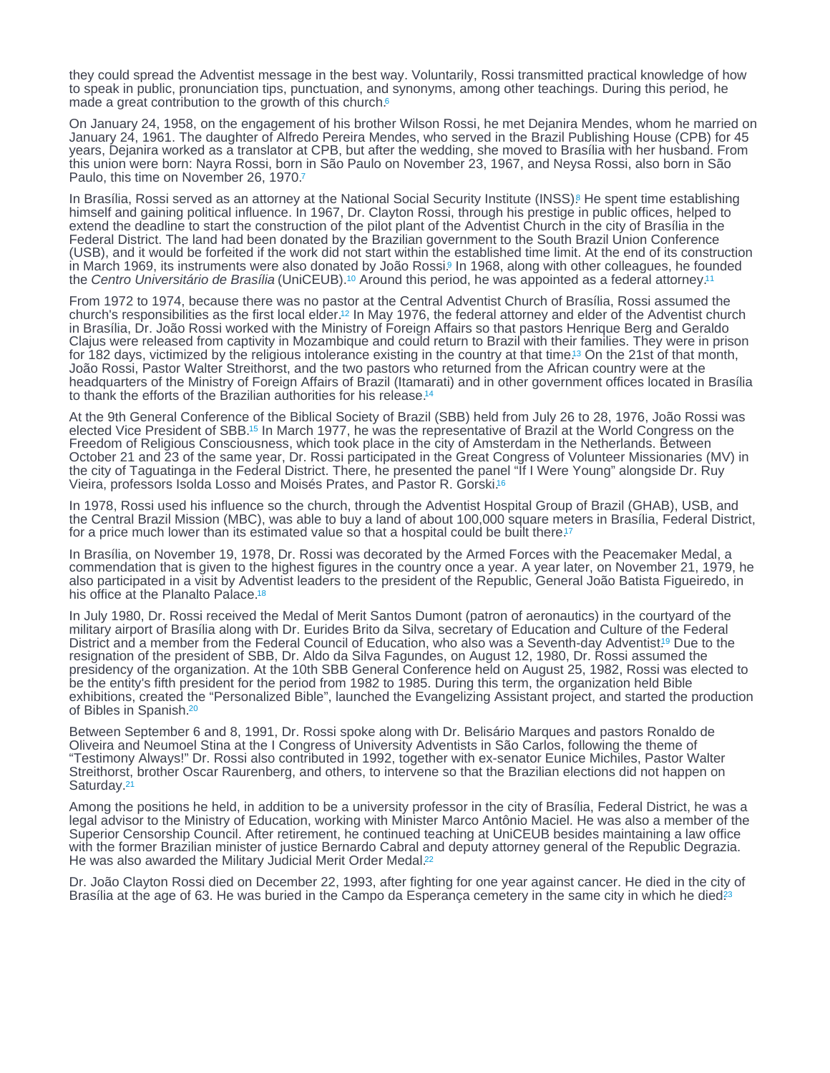<span id="page-1-0"></span>they could spread the Adventist message in the best way. Voluntarily, Rossi transmitted practical knowledge of how to speak in public, pronunciation tips, punctuation, and synonyms, among other teachings. During this period, he made a great contribution to the growth of this church.<sup>[6](#page-3-0)</sup>

On January 24, 1958, on the engagement of his brother Wilson Rossi, he met Dejanira Mendes, whom he married on January 24, 1961. The daughter of Alfredo Pereira Mendes, who served in the Brazil Publishing House (CPB) for 45 years, Dejanira worked as a translator at CPB, but after the wedding, she moved to Brasília with her husband. From this union were born: Nayra Rossi, born in São Paulo on November 23, 1967, and Neysa Rossi, also born in São Paulo, this time on November 26, 1970.[7](#page-3-0)

In Brasília, Rossi served as an attorney at the National Social Security Institute (INSS)<sup>8</sup> He spent time establishing himself and gaining political influence. In 1967, Dr. Clayton Rossi, through his prestige in public offices, helped to extend the deadline to start the construction of the pilot plant of the Adventist Church in the city of Brasília in the Federal District. The land had been donated by the Brazilian government to the South Brazil Union Conference (USB), and it would be forfeited if the work did not start within the established time limit. At the end of its construction in March 1969, its instruments were also donated by João Rossi[.](#page-3-0)<sup>9</sup> In 1968, along with other colleagues, he founded the Centro Universitário de Brasília (UniCEUB)[.](#page-3-0)<sup>10</sup> Around this period, he was appointed as a federal attorney.<sup>[11](#page-3-0)</sup>

From 1972 to 1974, because there was no pastor at the Central Adventist Church of Brasília, Rossi assumed the church's responsibilities as the first local elder.<sup>12</sup> In May 1976, the federal attorney and elder of the Adventist church in Brasília, Dr. João Rossi worked with the Ministry of Foreign Affairs so that pastors Henrique Berg and Geraldo Clajus were released from captivity in Mozambique and could return to Brazil with their families. They were in prison for 182 days, victimized by the religious intolerance existing in the country at that time.<sup>13</sup> On the 21st of that month, João Rossi, Pastor Walter Streithorst, and the two pastors who returned from the African country were at the headquarters of the Ministry of Foreign Affairs of Brazil (Itamarati) and in other government offices located in Brasília to thank the efforts of the Brazilian authorities for his release. [14](#page-3-0)

At the 9th General Conference of the Biblical Society of Brazil (SBB) held from July 26 to 28, 1976, João Rossi was elected Vice President of SBB[.](#page-3-0)<sup>15</sup> In March 1977, he was the representative of Brazil at the World Congress on the Freedom of Religious Consciousness, which took place in the city of Amsterdam in the Netherlands. Between October 21 and 23 of the same year, Dr. Rossi participated in the Great Congress of Volunteer Missionaries (MV) in the city of Taguatinga in the Federal District. There, he presented the panel "If I Were Young" alongside Dr. Ruy Vieira, professors Isolda Losso and Moisés Prates, and Pastor R. Gorski. [16](#page-3-0)

In 1978, Rossi used his influence so the church, through the Adventist Hospital Group of Brazil (GHAB), USB, and the Central Brazil Mission (MBC), was able to buy a land of about 100,000 square meters in Brasília, Federal District, for a price much lower than its estimated value so that a hospital could be built there.<sup>[17](#page-3-0)</sup>

In Brasília, on November 19, 1978, Dr. Rossi was decorated by the Armed Forces with the Peacemaker Medal, a commendation that is given to the highest figures in the country once a year. A year later, on November 21, 1979, he also participated in a visit by Adventist leaders to the president of the Republic, General João Batista Figueiredo, in his office at the Planalto Palace.<sup>[18](#page-3-0)</sup>

In July 1980, Dr. Rossi received the Medal of Merit Santos Dumont (patron of aeronautics) in the courtyard of the military airport of Brasília along with Dr. Eurides Brito da Silva, secretary of Education and Culture of the Federal District and a member from the Federal Council of Education, who also was a Seventh-day Adventist[.](#page-3-0)<sup>19</sup> Due to the resignation of the president of SBB, Dr. Aldo da Silva Fagundes, on August 12, 1980, Dr. Rossi assumed the presidency of the organization. At the 10th SBB General Conference held on August 25, 1982, Rossi was elected to be the entity's fifth president for the period from 1982 to 1985. During this term, the organization held Bible exhibitions, created the "Personalized Bible", launched the Evangelizing Assistant project, and started the production of Bibles in Spanish.<sup>[20](#page-3-0)</sup>

Between September 6 and 8, 1991, Dr. Rossi spoke along with Dr. Belisário Marques and pastors Ronaldo de Oliveira and Neumoel Stina at the I Congress of University Adventists in São Carlos, following the theme of "Testimony Always!" Dr. Rossi also contributed in 1992, together with ex-senator Eunice Michiles, Pastor Walter Streithorst, brother Oscar Raurenberg, and others, to intervene so that the Brazilian elections did not happen on Saturday.[21](#page-3-0)

Among the positions he held, in addition to be a university professor in the city of Brasília, Federal District, he was a legal advisor to the Ministry of Education, working with Minister Marco Antônio Maciel. He was also a member of the Superior Censorship Council. After retirement, he continued teaching at UniCEUB besides maintaining a law office with the former Brazilian minister of justice Bernardo Cabral and deputy attorney general of the Republic Degrazia. He was also awarded the Military Judicial Merit Order Medal.<sup>[22](#page-3-0)</sup>

Dr. João Clayton Rossi died on December 22, 1993, after fighting for one year against cancer. He died in the city of Brasília at the age of 63. He was buried in the Campo da Esperança cemetery in the same city in which he died<sup>[23](#page-3-0)</sup>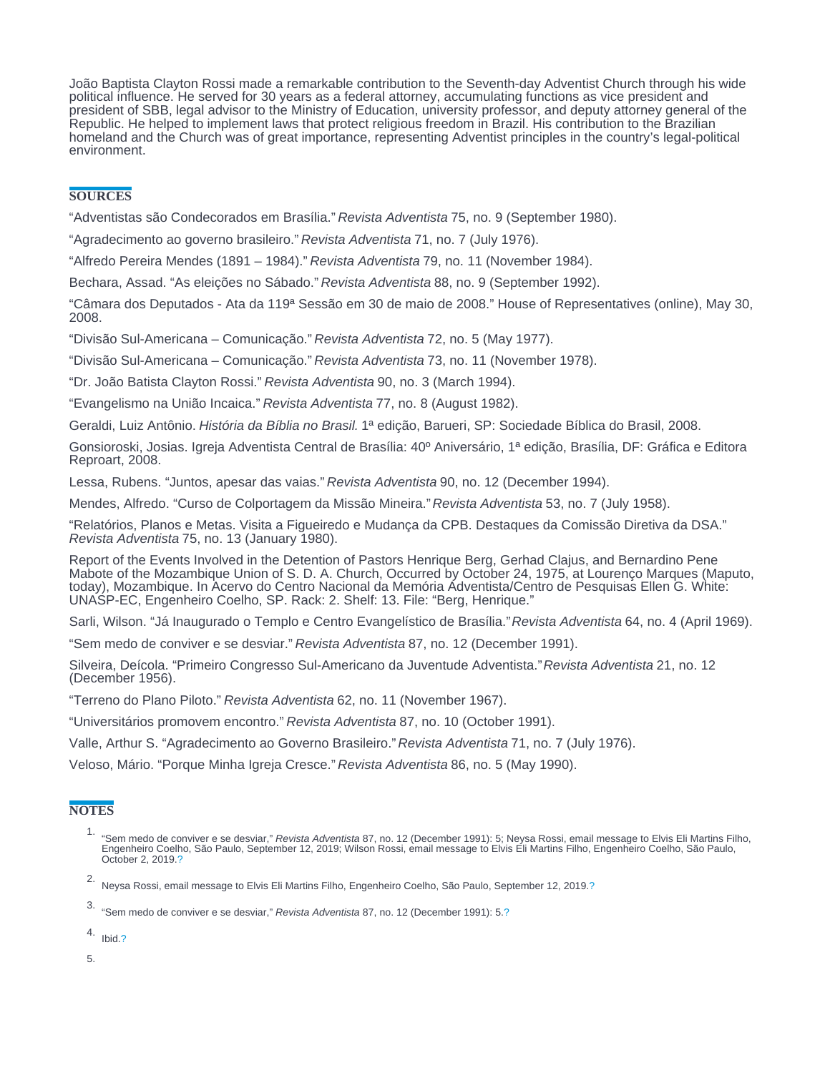<span id="page-2-0"></span>João Baptista Clayton Rossi made a remarkable contribution to the Seventh-day Adventist Church through his wide political influence. He served for 30 years as a federal attorney, accumulating functions as vice president and president of SBB, legal advisor to the Ministry of Education, university professor, and deputy attorney general of the Republic. He helped to implement laws that protect religious freedom in Brazil. His contribution to the Brazilian homeland and the Church was of great importance, representing Adventist principles in the country's legal-political environment.

## **SOURCES**

"Adventistas são Condecorados em Brasília." Revista Adventista 75, no. 9 (September 1980).

"Agradecimento ao governo brasileiro." Revista Adventista 71, no. 7 (July 1976).

"Alfredo Pereira Mendes (1891 – 1984)." Revista Adventista 79, no. 11 (November 1984).

Bechara, Assad. "As eleições no Sábado." Revista Adventista 88, no. 9 (September 1992).

"Câmara dos Deputados - Ata da 119ª Sessão em 30 de maio de 2008." House of Representatives (online), May 30, 2008.

"Divisão Sul-Americana – Comunicação." Revista Adventista 72, no. 5 (May 1977).

"Divisão Sul-Americana – Comunicação." Revista Adventista 73, no. 11 (November 1978).

"Dr. João Batista Clayton Rossi." Revista Adventista 90, no. 3 (March 1994).

"Evangelismo na União Incaica." Revista Adventista 77, no. 8 (August 1982).

Geraldi, Luiz Antônio. História da Bíblia no Brasil. 1ª edição, Barueri, SP: Sociedade Bíblica do Brasil, 2008.

Gonsioroski, Josias. Igreja Adventista Central de Brasília: 40º Aniversário, 1ª edição, Brasília, DF: Gráfica e Editora Reproart, 2008.

Lessa, Rubens. "Juntos, apesar das vaias." Revista Adventista 90, no. 12 (December 1994).

Mendes, Alfredo. "Curso de Colportagem da Missão Mineira." Revista Adventista 53, no. 7 (July 1958).

"Relatórios, Planos e Metas. Visita a Figueiredo e Mudança da CPB. Destaques da Comissão Diretiva da DSA." Revista Adventista 75, no. 13 (January 1980).

Report of the Events Involved in the Detention of Pastors Henrique Berg, Gerhad Clajus, and Bernardino Pene Mabote of the Mozambique Union of S. D. A. Church, Occurred by October 24, 1975, at Lourenço Marques (Maputo, today), Mozambique. In Acervo do Centro Nacional da Memória Adventista/Centro de Pesquisas Ellen G. White: UNASP-EC, Engenheiro Coelho, SP. Rack: 2. Shelf: 13. File: "Berg, Henrique."

Sarli, Wilson. "Já Inaugurado o Templo e Centro Evangelístico de Brasília." Revista Adventista 64, no. 4 (April 1969).

"Sem medo de conviver e se desviar." Revista Adventista 87, no. 12 (December 1991).

Silveira, Deícola. "Primeiro Congresso Sul-Americano da Juventude Adventista." Revista Adventista 21, no. 12 (December 1956).

"Terreno do Plano Piloto." Revista Adventista 62, no. 11 (November 1967).

"Universitários promovem encontro." Revista Adventista 87, no. 10 (October 1991).

Valle, Arthur S. "Agradecimento ao Governo Brasileiro." Revista Adventista 71, no. 7 (July 1976).

Veloso, Mário. "Porque Minha Igreja Cresce." Revista Adventista 86, no. 5 (May 1990).

## **NOTES**

- 1.<br>"Sem medo de conviver e se desviar," Revista Adventista 87, no. 12 (December 1991): 5; Neysa Rossi, email message to Elvis Eli Martins Filho,<br>Engenheiro Coelho, São Paulo, September 12, 2019; Wilson Rossi, email message October 2, 2019.[?](#page-0-0)
- 2. Neysa Rossi, email message to Elvis Eli Martins Filho, Engenheiro Coelho, São Paulo, September 12, 2019.[?](#page-0-0)

4. Ibid[.?](#page-0-0)

5.

<sup>3.</sup> "Sem medo de conviver e se desviar," Revista Adventista 87, no. 12 (December 1991): 5.[?](#page-0-0)